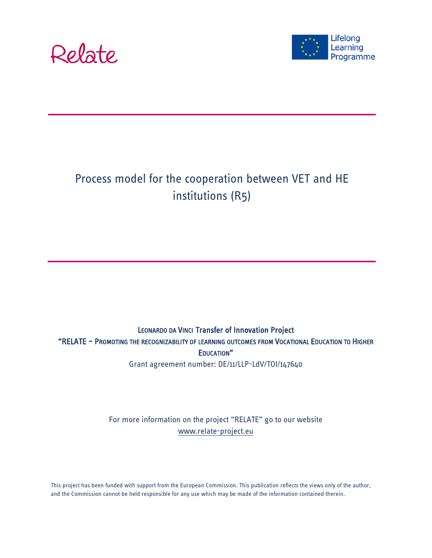



# Process model for the cooperation between VET and HE institutions (R5)

LEONARDO DA VINCI Transfer of Innovation Project "RELATE – PROMOTING THE RECOGNIZABILITY OF LEARNING OUTCOMES FROM VOCATIONAL EDUCATION TO HIGHER EDUCATION" Grant agreement number: DE/11/LLP-LdV/TOI/147640

> For more information on the project "RELATE" go to our website [www.relate-project.eu](http://www.relate-project.eu/)

This project has been funded with support from the European Commission. This publication reflects the views only of the author, and the Commission cannot be held responsible for any use which may be made of the information contained therein.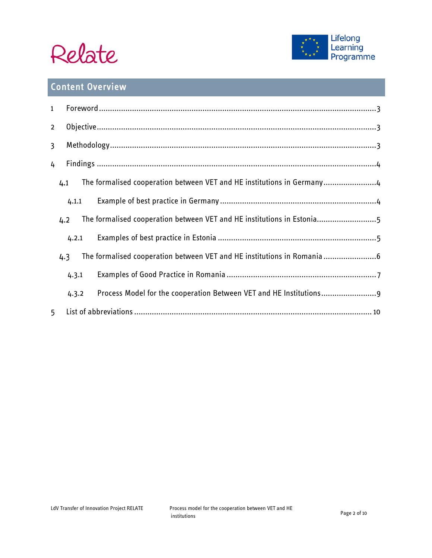



# Content Overview

| $\mathbf{1}$   |       |                                                                         |  |  |
|----------------|-------|-------------------------------------------------------------------------|--|--|
| $\overline{2}$ |       |                                                                         |  |  |
| 3              |       |                                                                         |  |  |
| 4              |       |                                                                         |  |  |
|                | 4.1   | The formalised cooperation between VET and HE institutions in Germany4  |  |  |
|                | 4.1.1 |                                                                         |  |  |
|                | 4.2   | The formalised cooperation between VET and HE institutions in Estonia5  |  |  |
|                | 4.2.1 |                                                                         |  |  |
|                | 4.3   | The formalised cooperation between VET and HE institutions in Romania 6 |  |  |
|                | 4.3.1 |                                                                         |  |  |
|                | 4.3.2 | Process Model for the cooperation Between VET and HE Institutions 9     |  |  |
| 5              |       |                                                                         |  |  |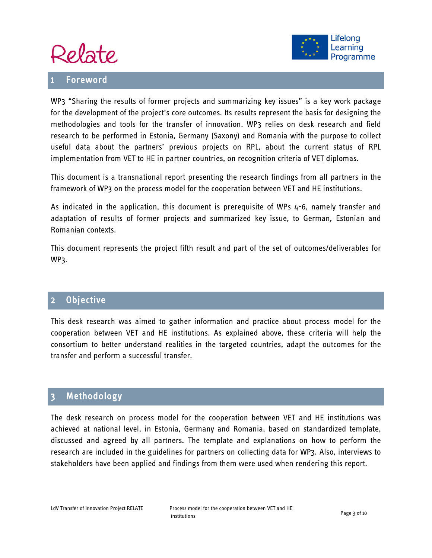

#### <span id="page-2-0"></span>**Foreword**



WP3 "Sharing the results of former projects and summarizing key issues" is a key work package for the development of the project's core outcomes. Its results represent the basis for designing the methodologies and tools for the transfer of innovation. WP3 relies on desk research and field research to be performed in Estonia, Germany (Saxony) and Romania with the purpose to collect useful data about the partners' previous projects on RPL, about the current status of RPL implementation from VET to HE in partner countries, on recognition criteria of VET diplomas.

This document is a transnational report presenting the research findings from all partners in the framework of WP3 on the process model for the cooperation between VET and HE institutions.

As indicated in the application, this document is prerequisite of WPs 4-6, namely transfer and adaptation of results of former projects and summarized key issue, to German, Estonian and Romanian contexts.

This document represents the project fifth result and part of the set of outcomes/deliverables for WP3.

### <span id="page-2-1"></span>2 Objective

This desk research was aimed to gather information and practice about process model for the cooperation between VET and HE institutions. As explained above, these criteria will help the consortium to better understand realities in the targeted countries, adapt the outcomes for the transfer and perform a successful transfer.

#### <span id="page-2-2"></span>3 Methodology

The desk research on process model for the cooperation between VET and HE institutions was achieved at national level, in Estonia, Germany and Romania, based on standardized template, discussed and agreed by all partners. The template and explanations on how to perform the research are included in the guidelines for partners on collecting data for WP3. Also, interviews to stakeholders have been applied and findings from them were used when rendering this report.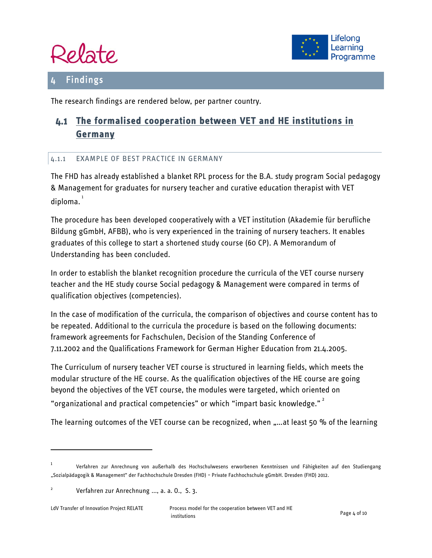



### <span id="page-3-0"></span>**Findings**

The research findings are rendered below, per partner country.

## <span id="page-3-1"></span>**The formalised cooperation between VET and HE institutions in Germany**

#### <span id="page-3-2"></span>4.1.1 EXAMPLE OF BEST PRACTICE IN GERMANY

The FHD has already established a blanket RPL process for the B.A. study program Social pedagogy & Management for graduates for nursery teacher and curative education therapist with VET diploma.<sup>[1](#page-3-3)</sup>

The procedure has been developed cooperatively with a VET institution (Akademie für berufliche Bildung gGmbH, AFBB), who is very experienced in the training of nursery teachers. It enables graduates of this college to start a shortened study course (60 CP). A Memorandum of Understanding has been concluded.

In order to establish the blanket recognition procedure the curricula of the VET course nursery teacher and the HE study course Social pedagogy & Management were compared in terms of qualification objectives (competencies).

In the case of modification of the curricula, the comparison of objectives and course content has to be repeated. Additional to the curricula the procedure is based on the following documents: framework agreements for Fachschulen, Decision of the Standing Conference of 7.11.2002 and the Qualifications Framework for German Higher Education from 21.4.2005.

The Curriculum of nursery teacher VET course is structured in learning fields, which meets the modular structure of the HE course. As the qualification objectives of the HE course are going beyond the objectives of the VET course, the modules were targeted, which oriented on "organizational and practical competencies" or which "impart basic knowledge."<sup>[2](#page-3-4)</sup>

The learning outcomes of the VET course can be recognized, when "...at least 50 % of the learning

 $\overline{a}$ 

<span id="page-3-3"></span><sup>1</sup> Verfahren zur Anrechnung von außerhalb des Hochschulwesens erworbenen Kenntnissen und Fähigkeiten auf den Studiengang "Sozialpädagogik & Management" der Fachhochschule Dresden (FHD) – Private Fachhochschule gGmbH. Dresden (FHD) 2012.

<span id="page-3-4"></span><sup>2</sup> Verfahren zur Anrechnung ..., a. a. O., S. 3.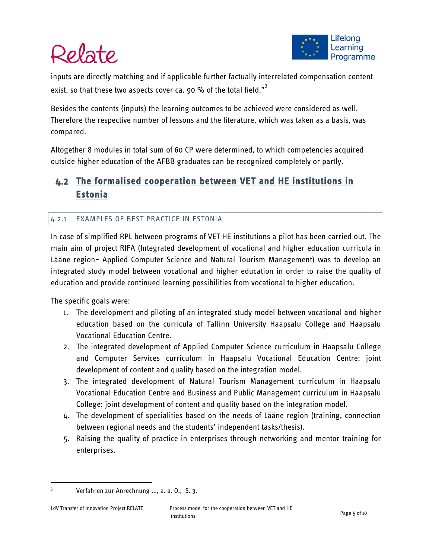

# Relate

inputs are directly matching and if applicable further factually interrelated compensation content exist, so that these two aspects cover ca. 90 % of the total field."<sup>[3](#page-4-2)</sup>

Besides the contents (inputs) the learning outcomes to be achieved were considered as well. Therefore the respective number of lessons and the literature, which was taken as a basis, was compared.

Altogether 8 modules in total sum of 60 CP were determined, to which competencies acquired outside higher education of the AFBB graduates can be recognized completely or partly.

## <span id="page-4-0"></span>**The formalised cooperation between VET and HE institutions in Estonia**

#### <span id="page-4-1"></span>4.2.1 EXAMPLES OF BEST PRACTICE IN ESTONIA

In case of simplified RPL between programs of VET HE institutions a pilot has been carried out. The main aim of project RIFA (Integrated development of vocational and higher education curricula in Lääne region– Applied Computer Science and Natural Tourism Management) was to develop an integrated study model between vocational and higher education in order to raise the quality of education and provide continued learning possibilities from vocational to higher education.

The specific goals were:

- 1. The development and piloting of an integrated study model between vocational and higher education based on the curricula of Tallinn University Haapsalu College and Haapsalu Vocational Education Centre.
- 2. The integrated development of Applied Computer Science curriculum in Haapsalu College and Computer Services curriculum in Haapsalu Vocational Education Centre: joint development of content and quality based on the integration model.
- 3. The integrated development of Natural Tourism Management curriculum in Haapsalu Vocational Education Centre and Business and Public Management curriculum in Haapsalu College: joint development of content and quality based on the integration model.
- 4. The development of specialities based on the needs of Lääne region (training, connection between regional needs and the students' independent tasks/thesis).
- 5. Raising the quality of practice in enterprises through networking and mentor training for enterprises.

<span id="page-4-2"></span> <sup>3</sup> Verfahren zur Anrechnung ..., a. a. O., S. 3.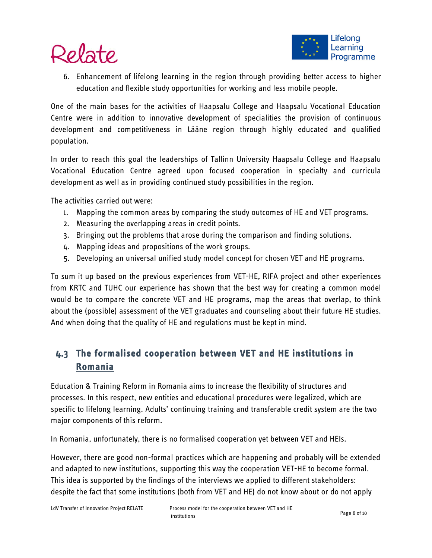

6. Enhancement of lifelong learning in the region through providing better access to higher education and flexible study opportunities for working and less mobile people.

One of the main bases for the activities of Haapsalu College and Haapsalu Vocational Education Centre were in addition to innovative development of specialities the provision of continuous development and competitiveness in Lääne region through highly educated and qualified population.

In order to reach this goal the leaderships of Tallinn University Haapsalu College and Haapsalu Vocational Education Centre agreed upon focused cooperation in specialty and curricula development as well as in providing continued study possibilities in the region.

The activities carried out were:

- 1. Mapping the common areas by comparing the study outcomes of HE and VET programs.
- 2. Measuring the overlapping areas in credit points.
- 3. Bringing out the problems that arose during the comparison and finding solutions.
- 4. Mapping ideas and propositions of the work groups.
- 5. Developing an universal unified study model concept for chosen VET and HE programs.

To sum it up based on the previous experiences from VET-HE, RIFA project and other experiences from KRTC and TUHC our experience has shown that the best way for creating a common model would be to compare the concrete VET and HE programs, map the areas that overlap, to think about the (possible) assessment of the VET graduates and counseling about their future HE studies. And when doing that the quality of HE and regulations must be kept in mind.

## <span id="page-5-0"></span>**The formalised cooperation between VET and HE institutions in Romania**

Education & Training Reform in Romania aims to increase the flexibility of structures and processes. In this respect, new entities and educational procedures were legalized, which are specific to lifelong learning. Adults' continuing training and transferable credit system are the two major components of this reform.

In Romania, unfortunately, there is no formalised cooperation yet between VET and HEIs.

However, there are good non-formal practices which are happening and probably will be extended and adapted to new institutions, supporting this way the cooperation VET-HE to become formal. This idea is supported by the findings of the interviews we applied to different stakeholders: despite the fact that some institutions (both from VET and HE) do not know about or do not apply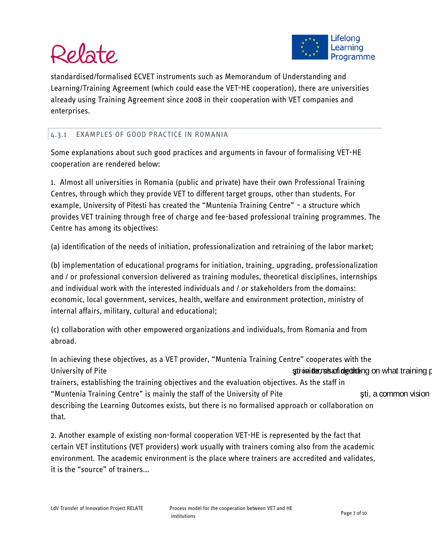# Relate



standardised/formalised ECVET instruments such as Memorandum of Understanding and Learning/Training Agreement (which could ease the VET-HE cooperation), there are universities already using Training Agreement since 2008 in their cooperation with VET companies and enterprises.

#### <span id="page-6-0"></span>4.3.1 EXAMPLES OF GOOD PRACTICE IN ROMANIA

Some explanations about such good practices and arguments in favour of formalising VET-HE cooperation are rendered below:

1. Almost all universities in Romania (public and private) have their own Professional Training Centres, through which they provide VET to different target groups, other than students. For example, University of Pitesti has created the "Muntenia Training Centre" – a structure which provides VET training through free of charge and fee-based professional training programmes. The Centre has among its objectives:

(a) identification of the needs of initiation, professionalization and retraining of the labor market;

(b) implementation of educational programs for initiation, training, upgrading, professionalization and / or professional conversion delivered as training modules, theoretical disciplines, internships and individual work with the interested individuals and / or stakeholders from the domains: economic, local government, services, health, welfare and environment protection, ministry of internal affairs, military, cultural and educational;

(c) collaboration with other empowered organizations and individuals, from Romania and from abroad.

In achieving these objectives, as a VET provider, "Muntenia Training Centre" cooperates with the University of Pite **the time of the time of the time of the time of time time time of deciding the time of deciding provided as a set of deciding provided with training provided and training provided with the time of the t** trainers, establishing the training objectives and the evaluation objectives. As the staff in "Muntenia Training Centre" is mainly the staff of the University of Pite **Fig. 2008** sti, a common vision describing the Learning Outcomes exists, but there is no formalised approach or collaboration on that.

2. Another example of existing non-formal cooperation VET-HE is represented by the fact that certain VET institutions (VET providers) work usually with trainers coming also from the academic environment. The academic environment is the place where trainers are accredited and validates, it is the "source" of trainers...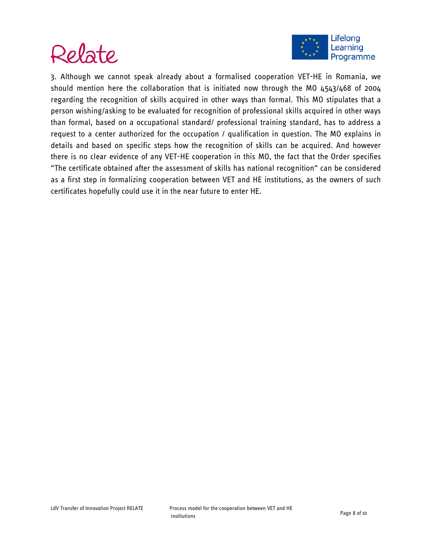



3. Although we cannot speak already about a formalised cooperation VET-HE in Romania, we should mention here the collaboration that is initiated now through the MO 4543/468 of 2004 regarding the recognition of skills acquired in other ways than formal. This MO stipulates that a person wishing/asking to be evaluated for recognition of professional skills acquired in other ways than formal, based on a occupational standard/ professional training standard, has to address a request to a center authorized for the occupation / qualification in question. The MO explains in details and based on specific steps how the recognition of skills can be acquired. And however there is no clear evidence of any VET-HE cooperation in this MO, the fact that the Order specifies "The certificate obtained after the assessment of skills has national recognition" can be considered as a first step in formalizing cooperation between VET and HE institutions, as the owners of such certificates hopefully could use it in the near future to enter HE.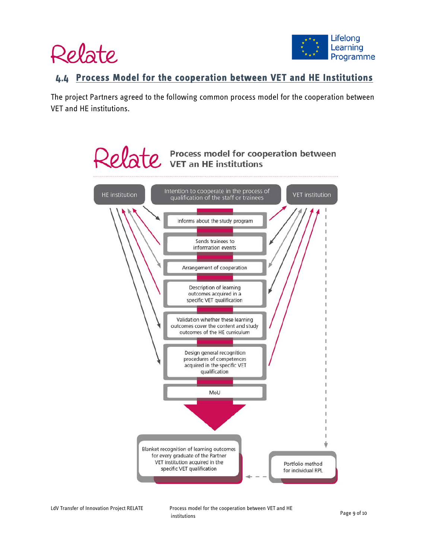



#### <span id="page-8-0"></span>**Process Model for the cooperation between VET and HE Institutions**

The project Partners agreed to the following common process model for the cooperation between VET and HE institutions.

# Relate Process model for cooperation between



LdV Transfer of Innovation Project RELATE Process model for the cooperation between VET and HE institutions Page 9 of 10